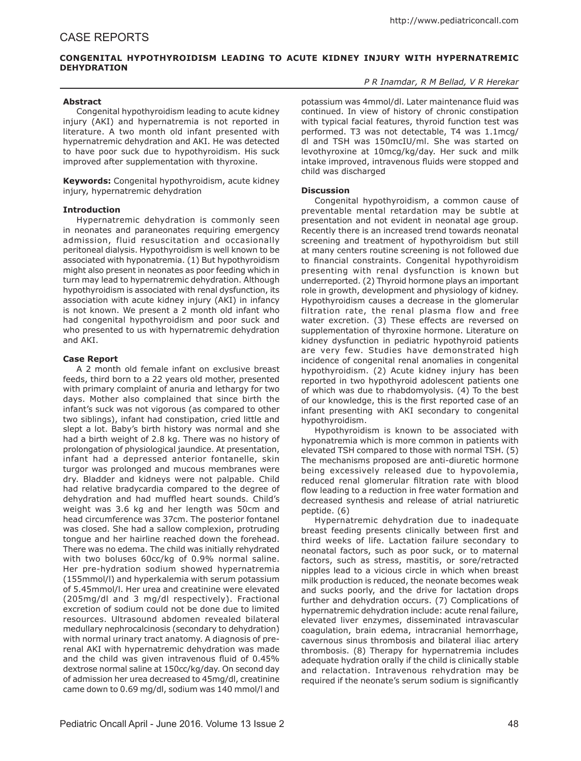# **CONGENITAL HYPOTHYROIDISM LEADING TO ACUTE KIDNEY INJURY WITH HYPERNATREMIC DEHYDRATION**

## *P R Inamdar, R M Bellad, V R Herekar*

### **Abstract**

Congenital hypothyroidism leading to acute kidney injury (AKI) and hypernatremia is not reported in literature. A two month old infant presented with hypernatremic dehydration and AKI. He was detected to have poor suck due to hypothyroidism. His suck improved after supplementation with thyroxine.

**Keywords:** Congenital hypothyroidism, acute kidney injury, hypernatremic dehydration

### **Introduction**

Hypernatremic dehydration is commonly seen in neonates and paraneonates requiring emergency admission, fluid resuscitation and occasionally peritoneal dialysis. Hypothyroidism is well known to be associated with hyponatremia. (1) But hypothyroidism might also present in neonates as poor feeding which in turn may lead to hypernatremic dehydration. Although hypothyroidism is associated with renal dysfunction, its association with acute kidney injury (AKI) in infancy is not known. We present a 2 month old infant who had congenital hypothyroidism and poor suck and who presented to us with hypernatremic dehydration and AKI.

### **Case Report**

A 2 month old female infant on exclusive breast feeds, third born to a 22 years old mother, presented with primary complaint of anuria and lethargy for two days. Mother also complained that since birth the infant's suck was not vigorous (as compared to other two siblings), infant had constipation, cried little and slept a lot. Baby's birth history was normal and she had a birth weight of 2.8 kg. There was no history of prolongation of physiological jaundice. At presentation, infant had a depressed anterior fontanelle, skin turgor was prolonged and mucous membranes were dry. Bladder and kidneys were not palpable. Child had relative bradycardia compared to the degree of dehydration and had muffled heart sounds. Child's weight was 3.6 kg and her length was 50cm and head circumference was 37cm. The posterior fontanel was closed. She had a sallow complexion, protruding tongue and her hairline reached down the forehead. There was no edema. The child was initially rehydrated with two boluses 60cc/kg of 0.9% normal saline. Her pre-hydration sodium showed hypernatremia (155mmol/l) and hyperkalemia with serum potassium of 5.45mmol/l. Her urea and creatinine were elevated (205mg/dl and 3 mg/dl respectively). Fractional excretion of sodium could not be done due to limited resources. Ultrasound abdomen revealed bilateral medullary nephrocalcinosis (secondary to dehydration) with normal urinary tract anatomy. A diagnosis of prerenal AKI with hypernatremic dehydration was made and the child was given intravenous fluid of 0.45% dextrose normal saline at 150cc/kg/day. On second day of admission her urea decreased to 45mg/dl, creatinine came down to 0.69 mg/dl, sodium was 140 mmol/l and

potassium was 4mmol/dl. Later maintenance fluid was continued. In view of history of chronic constipation with typical facial features, thyroid function test was performed. T3 was not detectable, T4 was 1.1mcg/ dl and TSH was 150mcIU/ml. She was started on levothyroxine at 10mcg/kg/day. Her suck and milk intake improved, intravenous fluids were stopped and child was discharged

### **Discussion**

Congenital hypothyroidism, a common cause of preventable mental retardation may be subtle at presentation and not evident in neonatal age group. Recently there is an increased trend towards neonatal screening and treatment of hypothyroidism but still at many centers routine screening is not followed due to financial constraints. Congenital hypothyroidism presenting with renal dysfunction is known but underreported. (2) Thyroid hormone plays an important role in growth, development and physiology of kidney. Hypothyroidism causes a decrease in the glomerular filtration rate, the renal plasma flow and free water excretion. (3) These effects are reversed on supplementation of thyroxine hormone. Literature on kidney dysfunction in pediatric hypothyroid patients are very few. Studies have demonstrated high incidence of congenital renal anomalies in congenital hypothyroidism. (2) Acute kidney injury has been reported in two hypothyroid adolescent patients one of which was due to rhabdomyolysis. (4) To the best of our knowledge, this is the first reported case of an infant presenting with AKI secondary to congenital hypothyroidism.

Hypothyroidism is known to be associated with hyponatremia which is more common in patients with elevated TSH compared to those with normal TSH. (5) The mechanisms proposed are anti-diuretic hormone being excessively released due to hypovolemia, reduced renal glomerular filtration rate with blood flow leading to a reduction in free water formation and decreased synthesis and release of atrial natriuretic peptide. (6)

Hypernatremic dehydration due to inadequate breast feeding presents clinically between first and third weeks of life. Lactation failure secondary to neonatal factors, such as poor suck, or to maternal factors, such as stress, mastitis, or sore/retracted nipples lead to a vicious circle in which when breast milk production is reduced, the neonate becomes weak and sucks poorly, and the drive for lactation drops further and dehydration occurs. (7) Complications of hypernatremic dehydration include: acute renal failure, elevated liver enzymes, disseminated intravascular coagulation, brain edema, intracranial hemorrhage, cavernous sinus thrombosis and bilateral iliac artery thrombosis. (8) Therapy for hypernatremia includes adequate hydration orally if the child is clinically stable and relactation. Intravenous rehydration may be required if the neonate's serum sodium is significantly